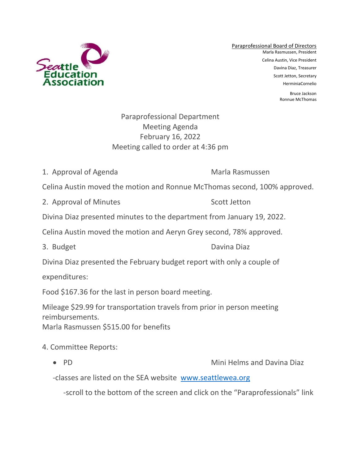

Paraprofessional Board of Directors Marla Rasmussen, President Celina Austin, Vice President Davina Diaz, Treasurer Scott Jetton, Secretary HerminiaCornelio

> Bruce Jackson Ronnue McThomas

## Paraprofessional Department Meeting Agenda February 16, 2022 Meeting called to order at 4:36 pm

1. Approval of Agenda Marla Rasmussen

Celina Austin moved the motion and Ronnue McThomas second, 100% approved.

2. Approval of Minutes Scott Jetton

Divina Diaz presented minutes to the department from January 19, 2022.

Celina Austin moved the motion and Aeryn Grey second, 78% approved.

3. Budget Davina Diaz

Divina Diaz presented the February budget report with only a couple of

expenditures:

Food \$167.36 for the last in person board meeting.

Mileage \$29.99 for transportation travels from prior in person meeting reimbursements.

Marla Rasmussen \$515.00 for benefits

## 4. Committee Reports:

• PD Mini Helms and Davina Diaz

-classes are listed on the SEA website [www.seattlewea.org](http://www.seattlewea.org/)

-scroll to the bottom of the screen and click on the "Paraprofessionals" link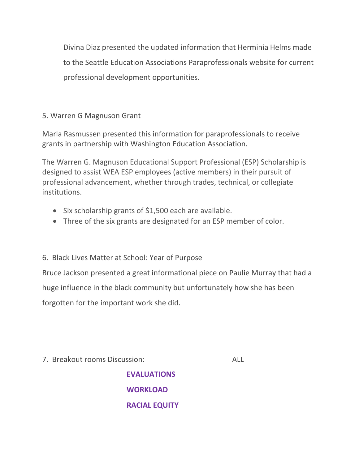Divina Diaz presented the updated information that Herminia Helms made to the Seattle Education Associations Paraprofessionals website for current professional development opportunities.

## 5. Warren G Magnuson Grant

Marla Rasmussen presented this information for paraprofessionals to receive grants in partnership with Washington Education Association.

The Warren G. Magnuson Educational Support Professional (ESP) Scholarship is designed to assist WEA ESP employees (active members) in their pursuit of professional advancement, whether through trades, technical, or collegiate institutions.

- Six scholarship grants of \$1,500 each are available.
- Three of the six grants are designated for an ESP member of color.

## 6. Black Lives Matter at School: Year of Purpose

Bruce Jackson presented a great informational piece on Paulie Murray that had a huge influence in the black community but unfortunately how she has been forgotten for the important work she did.

7. Breakout rooms Discussion: ALL

**EVALUATIONS WORKLOAD RACIAL EQUITY**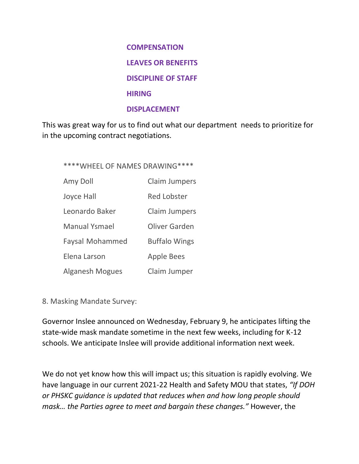**COMPENSATION LEAVES OR BENEFITS DISCIPLINE OF STAFF HIRING DISPLACEMENT**

This was great way for us to find out what our department needs to prioritize for in the upcoming contract negotiations.

\*\*\*\*WHEEL OF NAMES DRAWING\*\*\*\*

| Amy Doll               | <b>Claim Jumpers</b> |
|------------------------|----------------------|
| <b>Joyce Hall</b>      | <b>Red Lobster</b>   |
| Leonardo Baker         | <b>Claim Jumpers</b> |
| <b>Manual Ysmael</b>   | Oliver Garden        |
| <b>Faysal Mohammed</b> | <b>Buffalo Wings</b> |
| Elena Larson           | <b>Apple Bees</b>    |
| <b>Alganesh Mogues</b> | Claim Jumper         |

8. Masking Mandate Survey:

Governor Inslee announced on Wednesday, February 9, he anticipates lifting the state-wide mask mandate sometime in the next few weeks, including for K-12 schools. We anticipate Inslee will provide additional information next week.

We do not yet know how this will impact us; this situation is rapidly evolving. We have language in our current 2021-22 Health and Safety MOU that states, *"If DOH or PHSKC guidance is updated that reduces when and how long people should mask… the Parties agree to meet and bargain these changes."* However, the